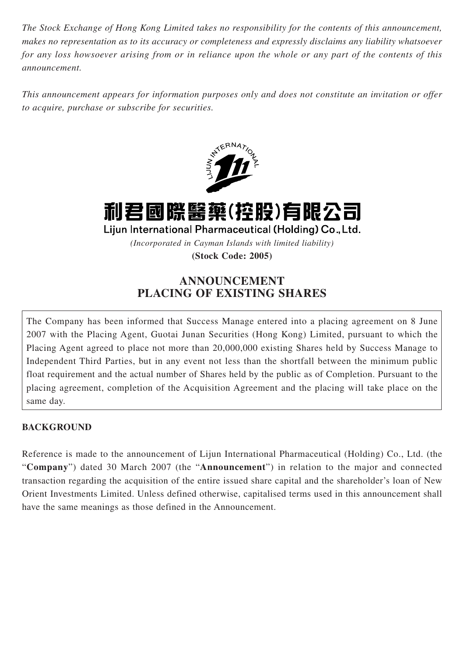*The Stock Exchange of Hong Kong Limited takes no responsibility for the contents of this announcement, makes no representation as to its accuracy or completeness and expressly disclaims any liability whatsoever for any loss howsoever arising from or in reliance upon the whole or any part of the contents of this announcement.*

*This announcement appears for information purposes only and does not constitute an invitation or offer to acquire, purchase or subscribe for securities.*



利君國際醫藥(控股)有限公司

Lijun International Pharmaceutical (Holding) Co., Ltd.

*(Incorporated in Cayman Islands with limited liability)*

**(Stock Code: 2005)**

# **ANNOUNCEMENT PLACING OF EXISTING SHARES**

The Company has been informed that Success Manage entered into a placing agreement on 8 June 2007 with the Placing Agent, Guotai Junan Securities (Hong Kong) Limited, pursuant to which the Placing Agent agreed to place not more than 20,000,000 existing Shares held by Success Manage to Independent Third Parties, but in any event not less than the shortfall between the minimum public float requirement and the actual number of Shares held by the public as of Completion. Pursuant to the placing agreement, completion of the Acquisition Agreement and the placing will take place on the same day.

### **BACKGROUND**

Reference is made to the announcement of Lijun International Pharmaceutical (Holding) Co., Ltd. (the "**Company**") dated 30 March 2007 (the "**Announcement**") in relation to the major and connected transaction regarding the acquisition of the entire issued share capital and the shareholder's loan of New Orient Investments Limited. Unless defined otherwise, capitalised terms used in this announcement shall have the same meanings as those defined in the Announcement.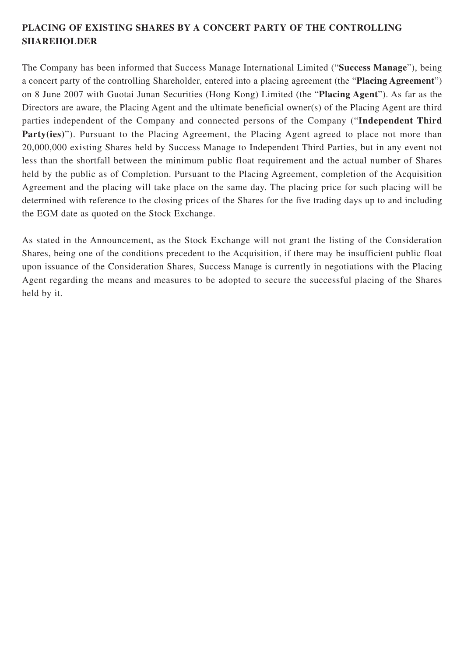## **PLACING OF EXISTING SHARES BY A CONCERT PARTY OF THE CONTROLLING SHAREHOLDER**

The Company has been informed that Success Manage International Limited ("**Success Manage**"), being a concert party of the controlling Shareholder, entered into a placing agreement (the "**Placing Agreement**") on 8 June 2007 with Guotai Junan Securities (Hong Kong) Limited (the "**Placing Agent**"). As far as the Directors are aware, the Placing Agent and the ultimate beneficial owner(s) of the Placing Agent are third parties independent of the Company and connected persons of the Company ("**Independent Third** Party(ies)"). Pursuant to the Placing Agreement, the Placing Agent agreed to place not more than 20,000,000 existing Shares held by Success Manage to Independent Third Parties, but in any event not less than the shortfall between the minimum public float requirement and the actual number of Shares held by the public as of Completion. Pursuant to the Placing Agreement, completion of the Acquisition Agreement and the placing will take place on the same day. The placing price for such placing will be determined with reference to the closing prices of the Shares for the five trading days up to and including the EGM date as quoted on the Stock Exchange.

As stated in the Announcement, as the Stock Exchange will not grant the listing of the Consideration Shares, being one of the conditions precedent to the Acquisition, if there may be insufficient public float upon issuance of the Consideration Shares, Success Manage is currently in negotiations with the Placing Agent regarding the means and measures to be adopted to secure the successful placing of the Shares held by it.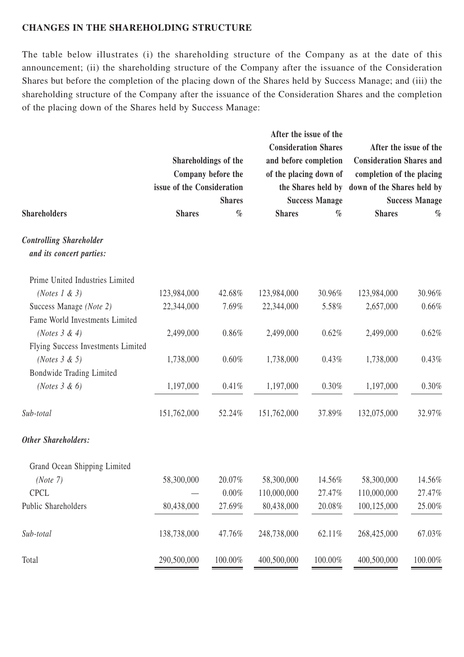#### **CHANGES IN THE SHAREHOLDING STRUCTURE**

The table below illustrates (i) the shareholding structure of the Company as at the date of this announcement; (ii) the shareholding structure of the Company after the issuance of the Consideration Shares but before the completion of the placing down of the Shares held by Success Manage; and (iii) the shareholding structure of the Company after the issuance of the Consideration Shares and the completion of the placing down of the Shares held by Success Manage:

|                                    |                                                                                           |         | After the issue of the                                                         |         |                                                                                                                                         |         |               |      |                                                |  |                                                |  |
|------------------------------------|-------------------------------------------------------------------------------------------|---------|--------------------------------------------------------------------------------|---------|-----------------------------------------------------------------------------------------------------------------------------------------|---------|---------------|------|------------------------------------------------|--|------------------------------------------------|--|
|                                    |                                                                                           |         | <b>Consideration Shares</b><br>and before completion<br>of the placing down of |         | After the issue of the<br><b>Consideration Shares and</b><br>completion of the placing<br>the Shares held by down of the Shares held by |         |               |      |                                                |  |                                                |  |
| <b>Shareholders</b>                | Shareholdings of the<br>Company before the<br>issue of the Consideration<br><b>Shares</b> |         |                                                                                |         |                                                                                                                                         |         |               |      |                                                |  |                                                |  |
|                                    |                                                                                           |         |                                                                                |         |                                                                                                                                         |         | <b>Shares</b> | $\%$ | <b>Success Manage</b><br><b>Shares</b><br>$\%$ |  | <b>Success Manage</b><br><b>Shares</b><br>$\%$ |  |
|                                    |                                                                                           |         |                                                                                |         |                                                                                                                                         |         |               |      |                                                |  |                                                |  |
|                                    | <b>Controlling Shareholder</b>                                                            |         |                                                                                |         |                                                                                                                                         |         |               |      |                                                |  |                                                |  |
| and its concert parties:           |                                                                                           |         |                                                                                |         |                                                                                                                                         |         |               |      |                                                |  |                                                |  |
| Prime United Industries Limited    |                                                                                           |         |                                                                                |         |                                                                                                                                         |         |               |      |                                                |  |                                                |  |
| (Notes $1 \& 3$ )                  | 123,984,000                                                                               | 42.68%  | 123,984,000                                                                    | 30.96%  | 123,984,000                                                                                                                             | 30.96%  |               |      |                                                |  |                                                |  |
| Success Manage (Note 2)            | 22,344,000                                                                                | 7.69%   | 22,344,000                                                                     | 5.58%   | 2,657,000                                                                                                                               | 0.66%   |               |      |                                                |  |                                                |  |
| Fame World Investments Limited     |                                                                                           |         |                                                                                |         |                                                                                                                                         |         |               |      |                                                |  |                                                |  |
| (Notes $3 & 4$ )                   | 2,499,000                                                                                 | 0.86%   | 2,499,000                                                                      | 0.62%   | 2,499,000                                                                                                                               | 0.62%   |               |      |                                                |  |                                                |  |
| Flying Success Investments Limited |                                                                                           |         |                                                                                |         |                                                                                                                                         |         |               |      |                                                |  |                                                |  |
| ( <i>Notes</i> $3 \& 5$ )          | 1,738,000                                                                                 | 0.60%   | 1,738,000                                                                      | 0.43%   | 1,738,000                                                                                                                               | 0.43%   |               |      |                                                |  |                                                |  |
| Bondwide Trading Limited           |                                                                                           |         |                                                                                |         |                                                                                                                                         |         |               |      |                                                |  |                                                |  |
| (Notes $3 \& 6$ )                  | 1,197,000                                                                                 | 0.41%   | 1,197,000                                                                      | 0.30%   | 1,197,000                                                                                                                               | 0.30%   |               |      |                                                |  |                                                |  |
| Sub-total                          | 151,762,000                                                                               | 52.24%  | 151,762,000                                                                    | 37.89%  | 132,075,000                                                                                                                             | 32.97%  |               |      |                                                |  |                                                |  |
| <b>Other Shareholders:</b>         |                                                                                           |         |                                                                                |         |                                                                                                                                         |         |               |      |                                                |  |                                                |  |
| Grand Ocean Shipping Limited       |                                                                                           |         |                                                                                |         |                                                                                                                                         |         |               |      |                                                |  |                                                |  |
| (Note 7)                           | 58,300,000                                                                                | 20.07%  | 58,300,000                                                                     | 14.56%  | 58,300,000                                                                                                                              | 14.56%  |               |      |                                                |  |                                                |  |
| <b>CPCL</b>                        |                                                                                           | 0.00%   | 110,000,000                                                                    | 27.47%  | 110,000,000                                                                                                                             | 27.47%  |               |      |                                                |  |                                                |  |
| Public Shareholders                | 80,438,000                                                                                | 27.69%  | 80,438,000                                                                     | 20.08%  | 100,125,000                                                                                                                             | 25.00%  |               |      |                                                |  |                                                |  |
| Sub-total                          | 138,738,000                                                                               | 47.76%  | 248,738,000                                                                    | 62.11%  | 268,425,000                                                                                                                             | 67.03%  |               |      |                                                |  |                                                |  |
| Total                              | 290,500,000                                                                               | 100.00% | 400,500,000                                                                    | 100.00% | 400,500,000                                                                                                                             | 100.00% |               |      |                                                |  |                                                |  |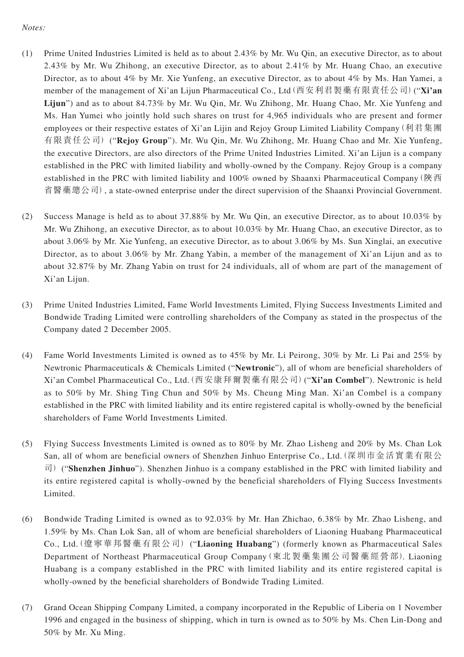#### *Notes:*

- (1) Prime United Industries Limited is held as to about 2.43% by Mr. Wu Qin, an executive Director, as to about 2.43% by Mr. Wu Zhihong, an executive Director, as to about 2.41% by Mr. Huang Chao, an executive Director, as to about 4% by Mr. Xie Yunfeng, an executive Director, as to about 4% by Ms. Han Yamei, a member of the management of Xi'an Lijun Pharmaceutical Co., Ltd(西安利君製藥有限責任公司)("**Xi'an Lijun**") and as to about 84.73% by Mr. Wu Qin, Mr. Wu Zhihong, Mr. Huang Chao, Mr. Xie Yunfeng and Ms. Han Yumei who jointly hold such shares on trust for 4,965 individuals who are present and former employees or their respective estates of Xi'an Lijin and Rejoy Group Limited Liability Company(利君集團 有限責任公司) ("**Rejoy Group**"). Mr. Wu Qin, Mr. Wu Zhihong, Mr. Huang Chao and Mr. Xie Yunfeng, the executive Directors, are also directors of the Prime United Industries Limited. Xi'an Lijun is a company established in the PRC with limited liability and wholly-owned by the Company. Rejoy Group is a company established in the PRC with limited liability and 100% owned by Shaanxi Pharmaceutical Company (陜西 省醫藥總公司), a state-owned enterprise under the direct supervision of the Shaanxi Provincial Government.
- (2) Success Manage is held as to about 37.88% by Mr. Wu Qin, an executive Director, as to about 10.03% by Mr. Wu Zhihong, an executive Director, as to about 10.03% by Mr. Huang Chao, an executive Director, as to about 3.06% by Mr. Xie Yunfeng, an executive Director, as to about 3.06% by Ms. Sun Xinglai, an executive Director, as to about 3.06% by Mr. Zhang Yabin, a member of the management of Xi'an Lijun and as to about 32.87% by Mr. Zhang Yabin on trust for 24 individuals, all of whom are part of the management of Xi'an Lijun.
- (3) Prime United Industries Limited, Fame World Investments Limited, Flying Success Investments Limited and Bondwide Trading Limited were controlling shareholders of the Company as stated in the prospectus of the Company dated 2 December 2005.
- (4) Fame World Investments Limited is owned as to 45% by Mr. Li Peirong, 30% by Mr. Li Pai and 25% by Newtronic Pharmaceuticals & Chemicals Limited ("**Newtronic**"), all of whom are beneficial shareholders of Xi'an Combel Pharmaceutical Co., Ltd.(西安康拜爾製藥有限公司)("**Xi'an Combel**"). Newtronic is held as to 50% by Mr. Shing Ting Chun and 50% by Ms. Cheung Ming Man. Xi'an Combel is a company established in the PRC with limited liability and its entire registered capital is wholly-owned by the beneficial shareholders of Fame World Investments Limited.
- (5) Flying Success Investments Limited is owned as to 80% by Mr. Zhao Lisheng and 20% by Ms. Chan Lok San, all of whom are beneficial owners of Shenzhen Jinhuo Enterprise Co., Ltd.(深圳市金活實業有限公 司) ("**Shenzhen Jinhuo**"). Shenzhen Jinhuo is a company established in the PRC with limited liability and its entire registered capital is wholly-owned by the beneficial shareholders of Flying Success Investments Limited.
- (6) Bondwide Trading Limited is owned as to 92.03% by Mr. Han Zhichao, 6.38% by Mr. Zhao Lisheng, and 1.59% by Ms. Chan Lok San, all of whom are beneficial shareholders of Liaoning Huabang Pharmaceutical Co., Ltd.(遼寧華邦醫藥有限公司) ("**Liaoning Huabang**") (formerly known as Pharmaceutical Sales Department of Northeast Pharmaceutical Group Company(東北製藥集團公司醫藥經營部). Liaoning Huabang is a company established in the PRC with limited liability and its entire registered capital is wholly-owned by the beneficial shareholders of Bondwide Trading Limited.
- (7) Grand Ocean Shipping Company Limited, a company incorporated in the Republic of Liberia on 1 November 1996 and engaged in the business of shipping, which in turn is owned as to 50% by Ms. Chen Lin-Dong and 50% by Mr. Xu Ming.